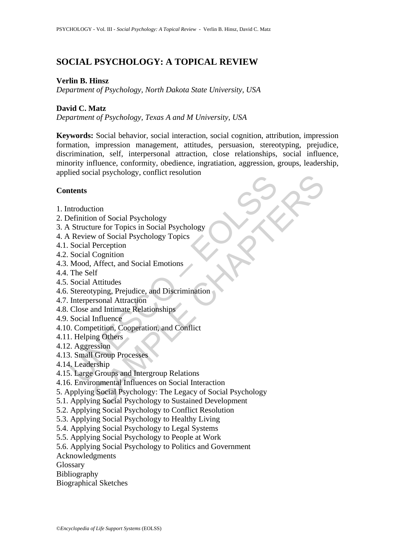# **SOCIAL PSYCHOLOGY: A TOPICAL REVIEW**

## **Verlin B. Hinsz**

*Department of Psychology, North Dakota State University, USA* 

## **David C. Matz**

*Department of Psychology, Texas A and M University, USA* 

**Keywords:** Social behavior, social interaction, social cognition, attribution, impression formation, impression management, attitudes, persuasion, stereotyping, prejudice, discrimination, self, interpersonal attraction, close relationships, social influence, minority influence, conformity, obedience, ingratiation, aggression, groups, leadership, applied social psychology, conflict resolution

### **Contents**

- 1. Introduction
- 2. Definition of Social Psychology
- 3. A Structure for Topics in Social Psychology
- 4. A Review of Social Psychology Topics
- 4.1. Social Perception
- 4.2. Social Cognition
- 4.3. Mood, Affect, and Social Emotions
- 4.4. The Self
- 4.5. Social Attitudes
- read social phycrology, commet resonation<br>tentition of Social Psychology<br>Situature for Topics in Social Psychology<br>Situature for Topics in Social Psychology<br>Neview of Social Psychology Topics<br>Social Perception<br>Social Cogni 4.6. Stereotyping, Prejudice, and Discrimination
- 4.7. Interpersonal Attraction
- 4.8. Close and Intimate Relationships
- 4.9. Social Influence
- 4.10. Competition, Cooperation, and Conflict
- 4.11. Helping Others
- 4.12. Aggression
- 4.13. Small Group Processes
- 4.14. Leadership
- 4.15. Large Groups and Intergroup Relations
- 4.16. Environmental Influences on Social Interaction
- The Conditional Psychology, Commet resolution<br>
tion<br>
on of Social Psychology<br>
we for Topics in Social Psychology<br>
Perception<br>
Perception<br>
Affect, and Social Emotions<br>
Attitudes<br>
Attitudes<br>
Attitudes<br>
Attitudes<br>
Attitudes<br> 5. Applying Social Psychology: The Legacy of Social Psychology
- 5.1. Applying Social Psychology to Sustained Development
- 5.2. Applying Social Psychology to Conflict Resolution
- 5.3. Applying Social Psychology to Healthy Living
- 5.4. Applying Social Psychology to Legal Systems
- 5.5. Applying Social Psychology to People at Work
- 5.6. Applying Social Psychology to Politics and Government
- Acknowledgments
- Glossary
- Bibliography
- Biographical Sketches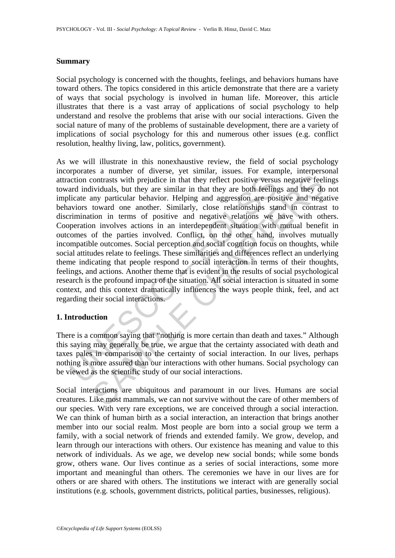### **Summary**

Social psychology is concerned with the thoughts, feelings, and behaviors humans have toward others. The topics considered in this article demonstrate that there are a variety of ways that social psychology is involved in human life. Moreover, this article illustrates that there is a vast array of applications of social psychology to help understand and resolve the problems that arise with our social interactions. Given the social nature of many of the problems of sustainable development, there are a variety of implications of social psychology for this and numerous other issues (e.g. conflict resolution, healthy living, law, politics, government).

nation contrasts with prejudice in that they reflect positive versuand<br>incition contrasts with prejudice in that they reflect positive versuand<br>incide any particular behavior. Helping and aggression are positives triminati contrasts with prejudice in that they reflect positive versus negative feel inviduals, but they are similar in that they are both feelings and they do<br>inviduals, but they are similar in that they are both feelings and they As we will illustrate in this nonexhaustive review, the field of social psychology incorporates a number of diverse, yet similar, issues. For example, interpersonal attraction contrasts with prejudice in that they reflect positive versus negative feelings toward individuals, but they are similar in that they are both feelings and they do not implicate any particular behavior. Helping and aggression are positive and negative behaviors toward one another. Similarly, close relationships stand in contrast to discrimination in terms of positive and negative relations we have with others. Cooperation involves actions in an interdependent situation with mutual benefit in outcomes of the parties involved. Conflict, on the other hand, involves mutually incompatible outcomes. Social perception and social cognition focus on thoughts, while social attitudes relate to feelings. These similarities and differences reflect an underlying theme indicating that people respond to social interaction in terms of their thoughts, feelings, and actions. Another theme that is evident in the results of social psychological research is the profound impact of the situation. All social interaction is situated in some context, and this context dramatically influences the ways people think, feel, and act regarding their social interactions.

### **1. Introduction**

There is a common saying that "nothing is more certain than death and taxes." Although this saying may generally be true, we argue that the certainty associated with death and taxes pales in comparison to the certainty of social interaction. In our lives, perhaps nothing is more assured than our interactions with other humans. Social psychology can be viewed as the scientific study of our social interactions.

Social interactions are ubiquitous and paramount in our lives. Humans are social creatures. Like most mammals, we can not survive without the care of other members of our species. With very rare exceptions, we are conceived through a social interaction. We can think of human birth as a social interaction, an interaction that brings another member into our social realm. Most people are born into a social group we term a family, with a social network of friends and extended family. We grow, develop, and learn through our interactions with others. Our existence has meaning and value to this network of individuals. As we age, we develop new social bonds; while some bonds grow, others wane. Our lives continue as a series of social interactions, some more important and meaningful than others. The ceremonies we have in our lives are for others or are shared with others. The institutions we interact with are generally social institutions (e.g. schools, government districts, political parties, businesses, religious).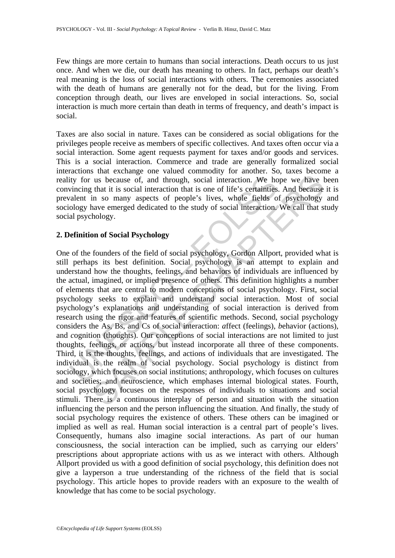Few things are more certain to humans than social interactions. Death occurs to us just once. And when we die, our death has meaning to others. In fact, perhaps our death's real meaning is the loss of social interactions with others. The ceremonies associated with the death of humans are generally not for the dead, but for the living. From conception through death, our lives are enveloped in social interactions. So, social interaction is much more certain than death in terms of frequency, and death's impact is social.

Taxes are also social in nature. Taxes can be considered as social obligations for the privileges people receive as members of specific collectives. And taxes often occur via a social interaction. Some agent requests payment for taxes and/or goods and services. This is a social interaction. Commerce and trade are generally formalized social interactions that exchange one valued commodity for another. So, taxes become a reality for us because of, and through, social interaction. We hope we have been convincing that it is social interaction that is one of life's certainties. And because it is prevalent in so many aspects of people's lives, whole fields of psychology and sociology have emerged dedicated to the study of social interaction. We call that study social psychology.

## **2. Definition of Social Psychology**

ity for us because of, and through, social interaction. We how incing that it is social interaction that is one of life's certainties<br>valent in so many aspects of people's lives, whole fields o<br>ology have emerged dedicated us because of, and through, social interaction. We hope we have that it is social interaction that is one of life's certainties. And because that it is social interaction that is one of life's certainties. And because in s One of the founders of the field of social psychology, Gordon Allport, provided what is still perhaps its best definition. Social psychology is an attempt to explain and understand how the thoughts, feelings, and behaviors of individuals are influenced by the actual, imagined, or implied presence of others. This definition highlights a number of elements that are central to modern conceptions of social psychology. First, social psychology seeks to explain and understand social interaction. Most of social psychology's explanations and understanding of social interaction is derived from research using the rigor and features of scientific methods. Second, social psychology considers the As, Bs, and Cs of social interaction: *a*ffect (feelings), *b*ehavior (actions), and *c*ognition (thoughts). Our conceptions of social interactions are not limited to just thoughts, feelings, or actions, but instead incorporate all three of these components. Third, it is the thoughts, feelings, and actions of individuals that are investigated. The individual is the realm of social psychology. Social psychology is distinct from sociology, which focuses on social institutions; anthropology, which focuses on cultures and societies; and neuroscience, which emphases internal biological states. Fourth, social psychology focuses on the responses of individuals to situations and social stimuli. There is a continuous interplay of person and situation with the situation influencing the person and the person influencing the situation. And finally, the study of social psychology requires the existence of others. These others can be imagined or implied as well as real. Human social interaction is a central part of people's lives. Consequently, humans also imagine social interactions. As part of our human consciousness, the social interaction can be implied, such as carrying our elders' prescriptions about appropriate actions with us as we interact with others. Although Allport provided us with a good definition of social psychology, this definition does not give a layperson a true understanding of the richness of the field that is social psychology. This article hopes to provide readers with an exposure to the wealth of knowledge that has come to be social psychology.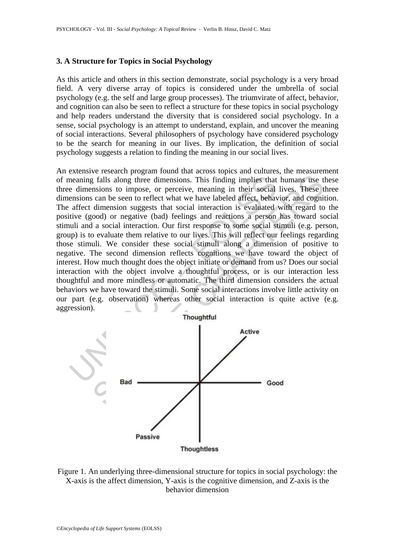#### **3. A Structure for Topics in Social Psychology**

As this article and others in this section demonstrate, social psychology is a very broad field. A very diverse array of topics is considered under the umbrella of social psychology (e.g. the self and large group processes). The triumvirate of affect, behavior, and cognition can also be seen to reflect a structure for these topics in social psychology and help readers understand the diversity that is considered social psychology. In a sense, social psychology is an attempt to understand, explain, and uncover the meaning of social interactions. Several philosophers of psychology have considered psychology to be the search for meaning in our lives. By implication, the definition of social psychology suggests a relation to finding the meaning in our social lives.

meaning falls along three dimensions. This finding implies that<br>e dimensions to impose, or perceive, meaning in their social<br>ensions can be seen to reflect what we have labeled affect, behave<br>affect dimension suggests that The second of the second state of the second state of the second state and the second state and to meloci when the second inference of the second of the second of the second of the second of the second of the second of the An extensive research program found that across topics and cultures, the measurement of meaning falls along three dimensions. This finding implies that humans use these three dimensions to impose, or perceive, meaning in their social lives. These three dimensions can be seen to reflect what we have labeled affect, behavior, and cognition. The affect dimension suggests that social interaction is evaluated with regard to the positive (good) or negative (bad) feelings and reactions a person has toward social stimuli and a social interaction. Our first response to some social stimuli (e.g. person, group) is to evaluate them relative to our lives. This will reflect our feelings regarding those stimuli. We consider these social stimuli along a dimension of positive to negative. The second dimension reflects cognitions we have toward the object of interest. How much thought does the object initiate or demand from us? Does our social interaction with the object involve a thoughtful process, or is our interaction less thoughtful and more mindless or automatic. The third dimension considers the actual behaviors we have toward the stimuli. Some social interactions involve little activity on our part (e.g. observation) whereas other social interaction is quite active (e.g. aggression).



Figure 1. An underlying three-dimensional structure for topics in social psychology: the X-axis is the affect dimension, Y-axis is the cognitive dimension, and Z-axis is the behavior dimension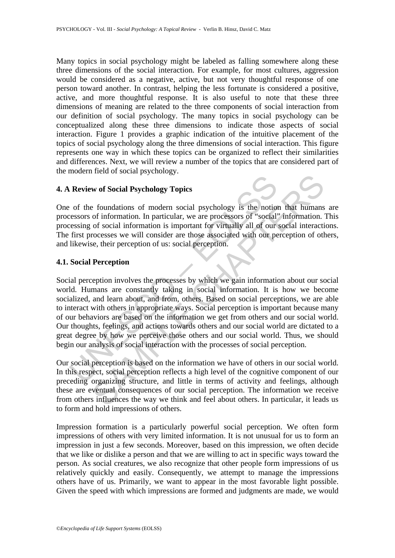Many topics in social psychology might be labeled as falling somewhere along these three dimensions of the social interaction. For example, for most cultures, aggression would be considered as a negative, active, but not very thoughtful response of one person toward another. In contrast, helping the less fortunate is considered a positive, active, and more thoughtful response. It is also useful to note that these three dimensions of meaning are related to the three components of social interaction from our definition of social psychology. The many topics in social psychology can be conceptualized along these three dimensions to indicate those aspects of social interaction. Figure 1 provides a graphic indication of the intuitive placement of the topics of social psychology along the three dimensions of social interaction. This figure represents one way in which these topics can be organized to reflect their similarities and differences. Next, we will review a number of the topics that are considered part of the modern field of social psychology.

### **4. A Review of Social Psychology Topics**

One of the foundations of modern social psychology is the notion that humans are processors of information. In particular, we are processors of "social" information. This processing of social information is important for virtually all of our social interactions. The first processes we will consider are those associated with our perception of others, and likewise, their perception of us: social perception.

### **4.1. Social Perception**

Review of Social Psychology Topics<br>
of the foundations of modern social psychology is the notion<br>
resessors of information. In particular, we are processors of "social"<br>
resisting of social information is important for vir **Example 19 States**<br> **Example Schoology Topics**<br> **Example Schoology Topics**<br> **Example Schoology Topics**<br> **Example Schoology Topics**<br> **Constant Schoology is the notion that humans**<br>
of social information is important for vi Social perception involves the processes by which we gain information about our social world. Humans are constantly taking in social information. It is how we become socialized, and learn about, and from, others. Based on social perceptions, we are able to interact with others in appropriate ways. Social perception is important because many of our behaviors are based on the information we get from others and our social world. Our thoughts, feelings, and actions towards others and our social world are dictated to a great degree by how we perceive those others and our social world. Thus, we should begin our analysis of social interaction with the processes of social perception.

Our social perception is based on the information we have of others in our social world. In this respect, social perception reflects a high level of the cognitive component of our preceding organizing structure, and little in terms of activity and feelings, although these are eventual consequences of our social perception. The information we receive from others influences the way we think and feel about others. In particular, it leads us to form and hold impressions of others.

Impression formation is a particularly powerful social perception. We often form impressions of others with very limited information. It is not unusual for us to form an impression in just a few seconds. Moreover, based on this impression, we often decide that we like or dislike a person and that we are willing to act in specific ways toward the person. As social creatures, we also recognize that other people form impressions of us relatively quickly and easily. Consequently, we attempt to manage the impressions others have of us. Primarily, we want to appear in the most favorable light possible. Given the speed with which impressions are formed and judgments are made, we would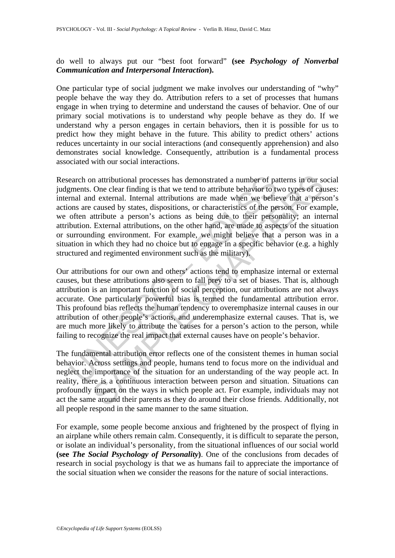do well to always put our "best foot forward" **(see** *Psychology of Nonverbal Communication and Interpersonal Interaction***).** 

One particular type of social judgment we make involves our understanding of "why" people behave the way they do. Attribution refers to a set of processes that humans engage in when trying to determine and understand the causes of behavior. One of our primary social motivations is to understand why people behave as they do. If we understand why a person engages in certain behaviors, then it is possible for us to predict how they might behave in the future. This ability to predict others' actions reduces uncertainty in our social interactions (and consequently apprehension) and also demonstrates social knowledge. Consequently, attribution is a fundamental process associated with our social interactions.

earch on attributional processes has demonstrated a number of payments. One clear finding is that we tend to attribute behavior to ty<br>mand and external. Internal attributions are made when we belie<br>ons are caused by states m attributional processes has demonstrated a number of patterns in our sc<br>One clear finding is that we tend to attribute behavior to two types of cat<br>d external. Internal attributions are made when we believe that a pers<br> Research on attributional processes has demonstrated a number of patterns in our social judgments. One clear finding is that we tend to attribute behavior to two types of causes: internal and external. Internal attributions are made when we believe that a person's actions are caused by states, dispositions, or characteristics of the person. For example, we often attribute a person's actions as being due to their personality; an internal attribution. External attributions, on the other hand, are made to aspects of the situation or surrounding environment. For example, we might believe that a person was in a situation in which they had no choice but to engage in a specific behavior (e.g. a highly structured and regimented environment such as the military).

Our attributions for our own and others' actions tend to emphasize internal or external causes, but these attributions also seem to fall prey to a set of biases. That is, although attribution is an important function of social perception, our attributions are not always accurate. One particularly powerful bias is termed the fundamental attribution error. This profound bias reflects the human tendency to overemphasize internal causes in our attribution of other people's actions, and underemphasize external causes. That is, we are much more likely to attribute the causes for a person's action to the person, while failing to recognize the real impact that external causes have on people's behavior.

The fundamental attribution error reflects one of the consistent themes in human social behavior. Across settings and people, humans tend to focus more on the individual and neglect the importance of the situation for an understanding of the way people act. In reality, there is a continuous interaction between person and situation. Situations can profoundly impact on the ways in which people act. For example, individuals may not act the same around their parents as they do around their close friends. Additionally, not all people respond in the same manner to the same situation.

For example, some people become anxious and frightened by the prospect of flying in an airplane while others remain calm. Consequently, it is difficult to separate the person, or isolate an individual's personality, from the situational influences of our social world **(see** *The Social Psychology of Personality***)**. One of the conclusions from decades of research in social psychology is that we as humans fail to appreciate the importance of the social situation when we consider the reasons for the nature of social interactions.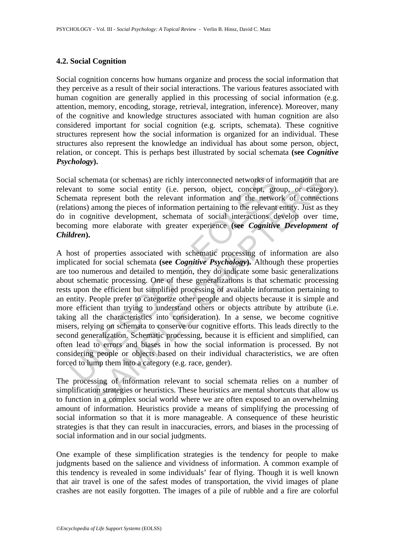### **4.2. Social Cognition**

Social cognition concerns how humans organize and process the social information that they perceive as a result of their social interactions. The various features associated with human cognition are generally applied in this processing of social information (e.g. attention, memory, encoding, storage, retrieval, integration, inference). Moreover, many of the cognitive and knowledge structures associated with human cognition are also considered important for social cognition (e.g. scripts, schemata). These cognitive structures represent how the social information is organized for an individual. These structures also represent the knowledge an individual has about some person, object, relation, or concept. This is perhaps best illustrated by social schemata **(see** *Cognitive Psychology***).** 

Social schemata (or schemas) are richly interconnected networks of information that are relevant to some social entity (i.e. person, object, concept, group, or category). Schemata represent both the relevant information and the network of connections (relations) among the pieces of information pertaining to the relevant entity. Just as they do in cognitive development, schemata of social interactions develop over time, becoming more elaborate with greater experience **(see** *Cognitive Development of Children***).** 

ial schemata (or schemas) are richly interconnected networks of in<br>vant to some social entity (i.e. person, object, concept, gremata represent both the relevant information and the netwo<br>tions) among the pieces of informat mata (or schemas) are richly interconnected networks of information tha<br>
20 some social entity (i.e. person, object, concept, group, or catege<br>
represent both the relevant information and the network of connect<br>
among the A host of properties associated with schematic processing of information are also implicated for social schemata **(see** *Cognitive Psychology***).** Although these properties are too numerous and detailed to mention, they do indicate some basic generalizations about schematic processing. One of these generalizations is that schematic processing rests upon the efficient but simplified processing of available information pertaining to an entity. People prefer to categorize other people and objects because it is simple and more efficient than trying to understand others or objects attribute by attribute (i.e. taking all the characteristics into consideration). In a sense, we become cognitive misers, relying on schemata to conserve our cognitive efforts. This leads directly to the second generalization. Schematic processing, because it is efficient and simplified, can often lead to errors and biases in how the social information is processed. By not considering people or objects based on their individual characteristics, we are often forced to lump them into a category (e.g. race, gender).

The processing of information relevant to social schemata relies on a number of simplification strategies or heuristics. These heuristics are mental shortcuts that allow us to function in a complex social world where we are often exposed to an overwhelming amount of information. Heuristics provide a means of simplifying the processing of social information so that it is more manageable. A consequence of these heuristic strategies is that they can result in inaccuracies, errors, and biases in the processing of social information and in our social judgments.

One example of these simplification strategies is the tendency for people to make judgments based on the salience and vividness of information. A common example of this tendency is revealed in some individuals' fear of flying. Though it is well known that air travel is one of the safest modes of transportation, the vivid images of plane crashes are not easily forgotten. The images of a pile of rubble and a fire are colorful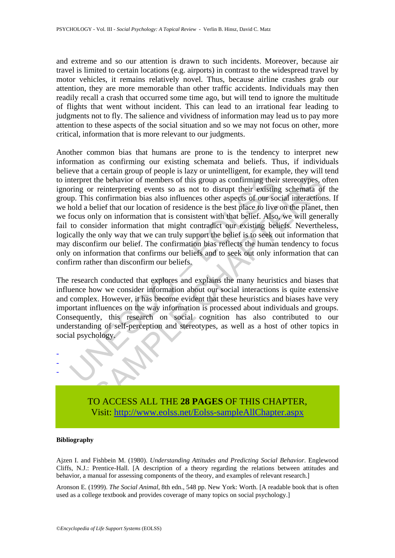and extreme and so our attention is drawn to such incidents. Moreover, because air travel is limited to certain locations (e.g. airports) in contrast to the widespread travel by motor vehicles, it remains relatively novel. Thus, because airline crashes grab our attention, they are more memorable than other traffic accidents. Individuals may then readily recall a crash that occurred some time ago, but will tend to ignore the multitude of flights that went without incident. This can lead to an irrational fear leading to judgments not to fly. The salience and vividness of information may lead us to pay more attention to these aspects of the social situation and so we may not focus on other, more critical, information that is more relevant to our judgments.

there the behavior of members of this group as confirming their existing or reinterpreting events so as not to disrupt their existing p. This confirmation bias also influences other aspects of our solol a belief that our l the behavior of members of this group as confirming their stereotypes, or reinterpreting events so as not to disrupt their existing schemata of somfrmation bias also influences other aspects of our social interaction of re Another common bias that humans are prone to is the tendency to interpret new information as confirming our existing schemata and beliefs. Thus, if individuals believe that a certain group of people is lazy or unintelligent, for example, they will tend to interpret the behavior of members of this group as confirming their stereotypes, often ignoring or reinterpreting events so as not to disrupt their existing schemata of the group. This confirmation bias also influences other aspects of our social interactions. If we hold a belief that our location of residence is the best place to live on the planet, then we focus only on information that is consistent with that belief. Also, we will generally fail to consider information that might contradict our existing beliefs. Nevertheless, logically the only way that we can truly support the belief is to seek out information that may disconfirm our belief. The confirmation bias reflects the human tendency to focus only on information that confirms our beliefs and to seek out only information that can confirm rather than disconfirm our beliefs.

The research conducted that explores and explains the many heuristics and biases that influence how we consider information about our social interactions is quite extensive and complex. However, it has become evident that these heuristics and biases have very important influences on the way information is processed about individuals and groups. Consequently, this research on social cognition has also contributed to our understanding of self-perception and stereotypes, as well as a host of other topics in social psychology.



TO ACCESS ALL THE **28 PAGES** OF THIS CHAPTER, Visit[: http://www.eolss.net/Eolss-sampleAllChapter.aspx](https://www.eolss.net/ebooklib/sc_cart.aspx?File=E6-27-06-00)

#### **Bibliography**

Ajzen I. and Fishbein M. (1980). *Understanding Attitudes and Predicting Social Behavior*. Englewood Cliffs, N.J.: Prentice-Hall. [A description of a theory regarding the relations between attitudes and behavior, a manual for assessing components of the theory, and examples of relevant research.]

Aronson E. (1999). *The Social Animal*, 8th edn., 548 pp. New York: Worth. [A readable book that is often used as a college textbook and provides coverage of many topics on social psychology.]